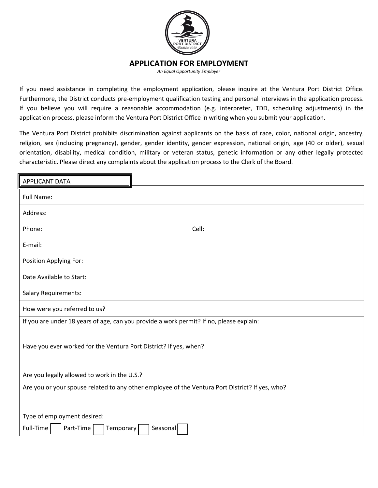

## **APPLICATION FOR EMPLOYMENT**

*An Equal Opportunity Employer*

If you need assistance in completing the employment application, please inquire at the Ventura Port District Office. Furthermore, the District conducts pre-employment qualification testing and personal interviews in the application process. If you believe you will require a reasonable accommodation (e.g. interpreter, TDD, scheduling adjustments) in the application process, please inform the Ventura Port District Office in writing when you submit your application.

The Ventura Port District prohibits discrimination against applicants on the basis of race, color, national origin, ancestry, religion, sex (including pregnancy), gender, gender identity, gender expression, national origin, age (40 or older), sexual orientation, disability, medical condition, military or veteran status, genetic information or any other legally protected characteristic. Please direct any complaints about the application process to the Clerk of the Board.

| <b>APPLICANT DATA</b>                                                                           |       |  |
|-------------------------------------------------------------------------------------------------|-------|--|
| Full Name:                                                                                      |       |  |
| Address:                                                                                        |       |  |
| Phone:                                                                                          | Cell: |  |
| E-mail:                                                                                         |       |  |
| Position Applying For:                                                                          |       |  |
| Date Available to Start:                                                                        |       |  |
| <b>Salary Requirements:</b>                                                                     |       |  |
| How were you referred to us?                                                                    |       |  |
| If you are under 18 years of age, can you provide a work permit? If no, please explain:         |       |  |
| Have you ever worked for the Ventura Port District? If yes, when?                               |       |  |
| Are you legally allowed to work in the U.S.?                                                    |       |  |
| Are you or your spouse related to any other employee of the Ventura Port District? If yes, who? |       |  |
| Type of employment desired:                                                                     |       |  |
| Part-Time<br>Full-Time<br>Temporary<br>Seasonal                                                 |       |  |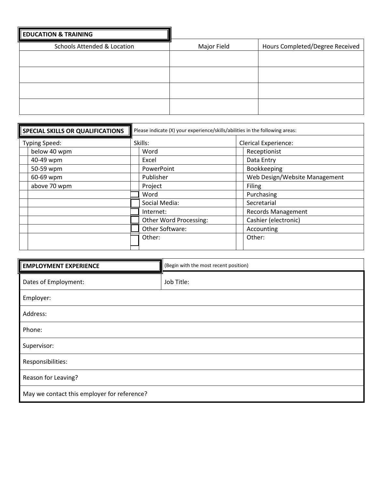| <b>EDUCATION &amp; TRAINING</b>        |             |                                 |
|----------------------------------------|-------------|---------------------------------|
| <b>Schools Attended &amp; Location</b> | Major Field | Hours Completed/Degree Received |
|                                        |             |                                 |
|                                        |             |                                 |
|                                        |             |                                 |
|                                        |             |                                 |
|                                        |             |                                 |
|                                        |             |                                 |

| <b>SPECIAL SKILLS OR QUALIFICATIONS</b> | Please indicate (X) your experience/skills/abilities in the following areas: |                               |
|-----------------------------------------|------------------------------------------------------------------------------|-------------------------------|
| <b>Typing Speed:</b>                    | Skills:                                                                      | <b>Clerical Experience:</b>   |
| below 40 wpm                            | Word                                                                         | Receptionist                  |
| 40-49 wpm                               | Excel                                                                        | Data Entry                    |
| 50-59 wpm                               | PowerPoint                                                                   | Bookkeeping                   |
| 60-69 wpm                               | Publisher                                                                    | Web Design/Website Management |
| above 70 wpm                            | Project                                                                      | Filing                        |
|                                         | Word                                                                         | Purchasing                    |
|                                         | Social Media:                                                                | Secretarial                   |
|                                         | Internet:                                                                    | <b>Records Management</b>     |
|                                         | Other Word Processing:                                                       | Cashier (electronic)          |
|                                         | Other Software:                                                              | Accounting                    |
|                                         | Other:                                                                       | Other:                        |
|                                         |                                                                              |                               |

| <b>EMPLOYMENT EXPERIENCE</b>                | (Begin with the most recent position) |
|---------------------------------------------|---------------------------------------|
| Dates of Employment:                        | Job Title:                            |
| Employer:                                   |                                       |
| Address:                                    |                                       |
| Phone:                                      |                                       |
| Supervisor:                                 |                                       |
| Responsibilities:                           |                                       |
| Reason for Leaving?                         |                                       |
| May we contact this employer for reference? |                                       |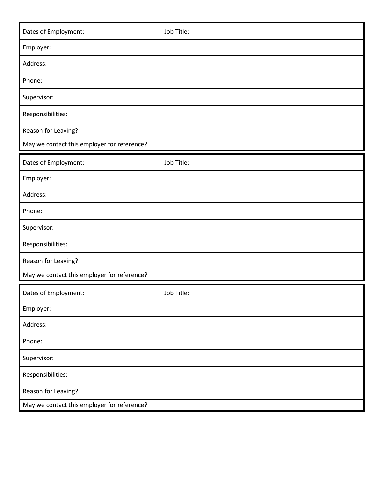| Dates of Employment:                        | Job Title: |  |
|---------------------------------------------|------------|--|
| Employer:                                   |            |  |
| Address:                                    |            |  |
| Phone:                                      |            |  |
| Supervisor:                                 |            |  |
| Responsibilities:                           |            |  |
| Reason for Leaving?                         |            |  |
| May we contact this employer for reference? |            |  |
| Dates of Employment:                        | Job Title: |  |
| Employer:                                   |            |  |
| Address:                                    |            |  |
| Phone:                                      |            |  |
| Supervisor:                                 |            |  |
| Responsibilities:                           |            |  |
| Reason for Leaving?                         |            |  |
| May we contact this employer for reference? |            |  |
| Dates of Employment:                        | Job Title: |  |
| Employer:                                   |            |  |
| Address:                                    |            |  |
| Phone:                                      |            |  |
| Supervisor:                                 |            |  |
| Responsibilities:                           |            |  |
| Reason for Leaving?                         |            |  |
| May we contact this employer for reference? |            |  |